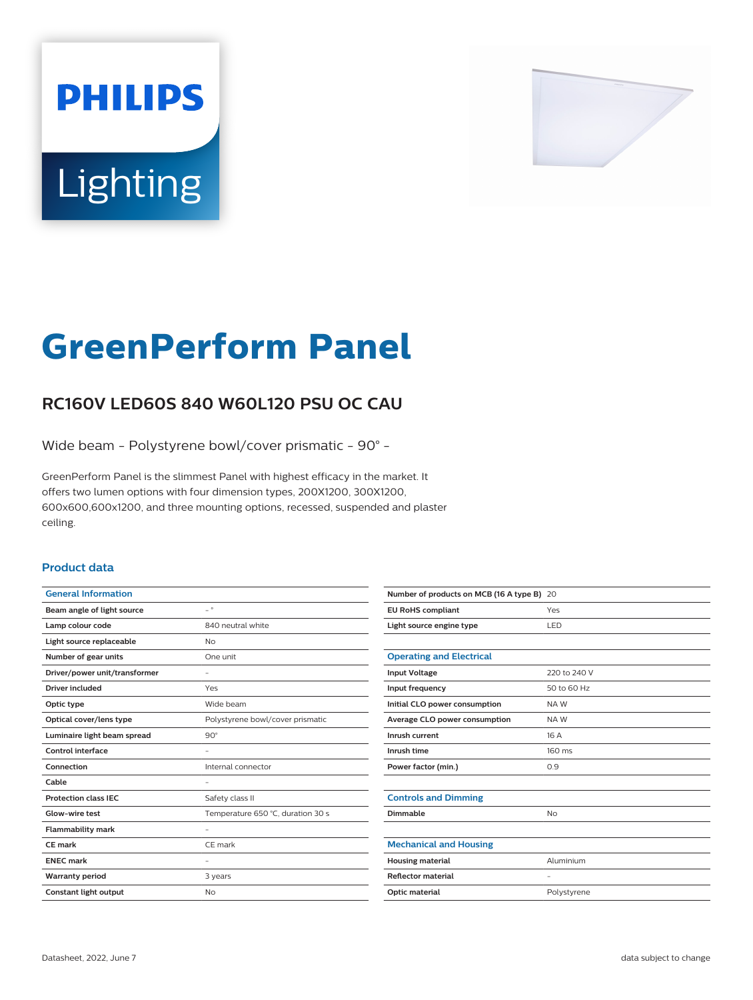# **PHILIPS** Lighting



# **GreenPerform Panel**

# **RC160V LED60S 840 W60L120 PSU OC CAU**

Wide beam - Polystyrene bowl/cover prismatic - 90° -

GreenPerform Panel is the slimmest Panel with highest efficacy in the market. It offers two lumen options with four dimension types, 200X1200, 300X1200, 600x600,600x1200, and three mounting options, recessed, suspended and plaster ceiling.

### **Product data**

| <b>General Information</b>    |                                   |
|-------------------------------|-----------------------------------|
| Beam angle of light source    | $\overline{\phantom{0}}$          |
| Lamp colour code              | 840 neutral white                 |
| Light source replaceable      | No                                |
| Number of gear units          | One unit                          |
| Driver/power unit/transformer |                                   |
| <b>Driver included</b>        | Yes                               |
| Optic type                    | Wide beam                         |
| Optical cover/lens type       | Polystyrene bowl/cover prismatic  |
| Luminaire light beam spread   | $90^\circ$                        |
| Control interface             |                                   |
| Connection                    | Internal connector                |
| Cable                         | ٠                                 |
| <b>Protection class IEC</b>   | Safety class II                   |
| Glow-wire test                | Temperature 650 °C, duration 30 s |
| <b>Flammability mark</b>      |                                   |
| CF mark                       | CE mark                           |
| <b>ENEC mark</b>              |                                   |
| <b>Warranty period</b>        | 3 years                           |
| Constant light output         | No                                |
|                               |                                   |

| Number of products on MCB (16 A type B) 20 |              |
|--------------------------------------------|--------------|
| <b>EU RoHS compliant</b>                   | Yes          |
| Light source engine type                   | LED          |
|                                            |              |
| <b>Operating and Electrical</b>            |              |
| <b>Input Voltage</b>                       | 220 to 240 V |
| Input frequency                            | 50 to 60 Hz  |
| Initial CLO power consumption              | NAW          |
| Average CLO power consumption              | NAW          |
| Inrush current                             | 16 A         |
| Inrush time                                | 160 ms       |
| Power factor (min.)                        | 0.9          |
|                                            |              |
| <b>Controls and Dimming</b>                |              |
| Dimmable                                   | No           |
|                                            |              |
| <b>Mechanical and Housing</b>              |              |
| <b>Housing material</b>                    | Aluminium    |
| <b>Reflector material</b>                  | ۰            |
| <b>Optic material</b>                      | Polystyrene  |
|                                            |              |